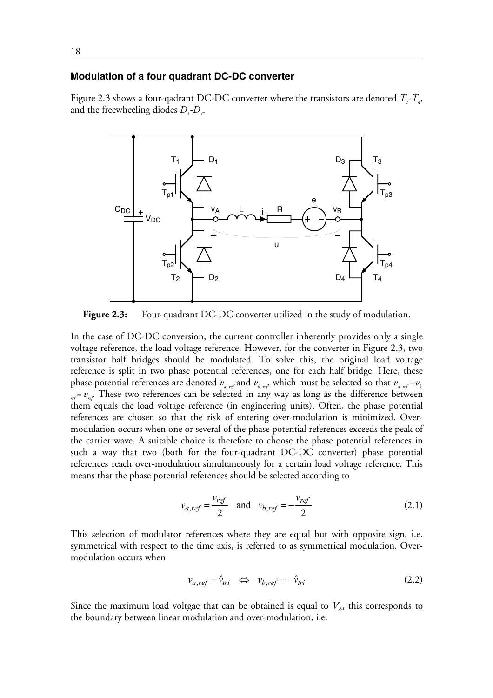## **Modulation of a four quadrant DC-DC converter**

Figure 2.3 shows a four-qadrant DC-DC converter where the transistors are denoted  $T_f - T_a$ , and the freewheeling diodes  $D_i$ - $D_4$ .



Figure 2.3: Four-quadrant DC-DC converter utilized in the study of modulation.

In the case of DC-DC conversion, the current controller inherently provides only a single voltage reference, the load voltage reference. However, for the converter in Figure 2.3, two transistor half bridges should be modulated. To solve this, the original load voltage reference is split in two phase potential references, one for each half bridge. Here, these phase potential references are denoted  $v_{a,ref}$  and  $v_{b,ref}$  which must be selected so that  $v_{a,ref} - v_{b,ref}$  $r_{ref} = v_{ref}$ . These two references can be selected in any way as long as the difference between them equals the load voltage reference (in engineering units). Often, the phase potential references are chosen so that the risk of entering over-modulation is minimized. Overmodulation occurs when one or several of the phase potential references exceeds the peak of the carrier wave. A suitable choice is therefore to choose the phase potential references in such a way that two (both for the four-quadrant DC-DC converter) phase potential references reach over-modulation simultaneously for a certain load voltage reference. This means that the phase potential references should be selected according to

$$
v_{a,ref} = \frac{v_{ref}}{2} \quad \text{and} \quad v_{b,ref} = -\frac{v_{ref}}{2} \tag{2.1}
$$

This selection of modulator references where they are equal but with opposite sign, i.e. symmetrical with respect to the time axis, is referred to as symmetrical modulation. Overmodulation occurs when

$$
v_{a,ref} = \hat{v}_{tri} \iff v_{b,ref} = -\hat{v}_{tri} \tag{2.2}
$$

Since the maximum load voltgae that can be obtained is equal to  $V_a$ , this corresponds to the boundary between linear modulation and over-modulation, i.e.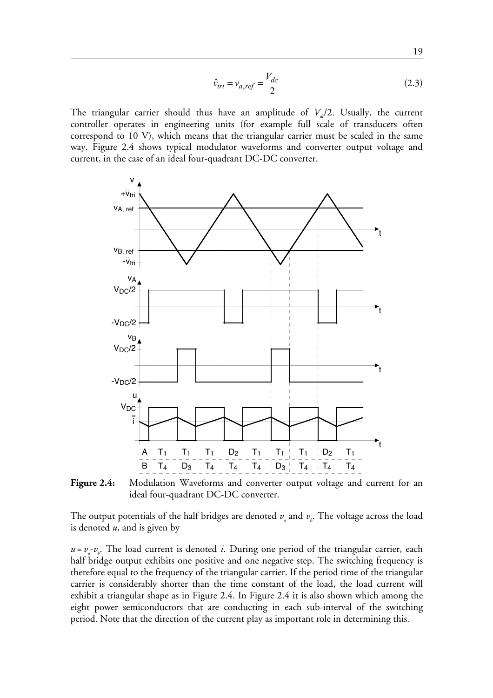$$
\hat{\nu}_{tri} = \nu_{a,ref} = \frac{V_{dc}}{2} \tag{2.3}
$$

The triangular carrier should thus have an amplitude of  $V_d/2$ . Usually, the current controller operates in engineering units (for example full scale of transducers often correspond to 10 V), which means that the triangular carrier must be scaled in the same way. Figure 2.4 shows typical modulator waveforms and converter output voltage and current, in the case of an ideal four-quadrant DC-DC converter.



**Figure 2.4:** Modulation Waveforms and converter output voltage and current for an ideal four-quadrant DC-DC converter.

The output potentials of the half bridges are denoted  $v_{\scriptscriptstyle a}$  and  $v_{\scriptscriptstyle b}$ . The voltage across the load is denoted *u*, and is given by

 $u = v_a - v_b$ . The load current is denoted *i*. During one period of the triangular carrier, each half bridge output exhibits one positive and one negative step. The switching frequency is therefore equal to the frequency of the triangular carrier. If the period time of the triangular carrier is considerably shorter than the time constant of the load, the load current will exhibit a triangular shape as in Figure 2.4. In Figure 2.4 it is also shown which among the eight power semiconductors that are conducting in each sub-interval of the switching period. Note that the direction of the current play as important role in determining this.